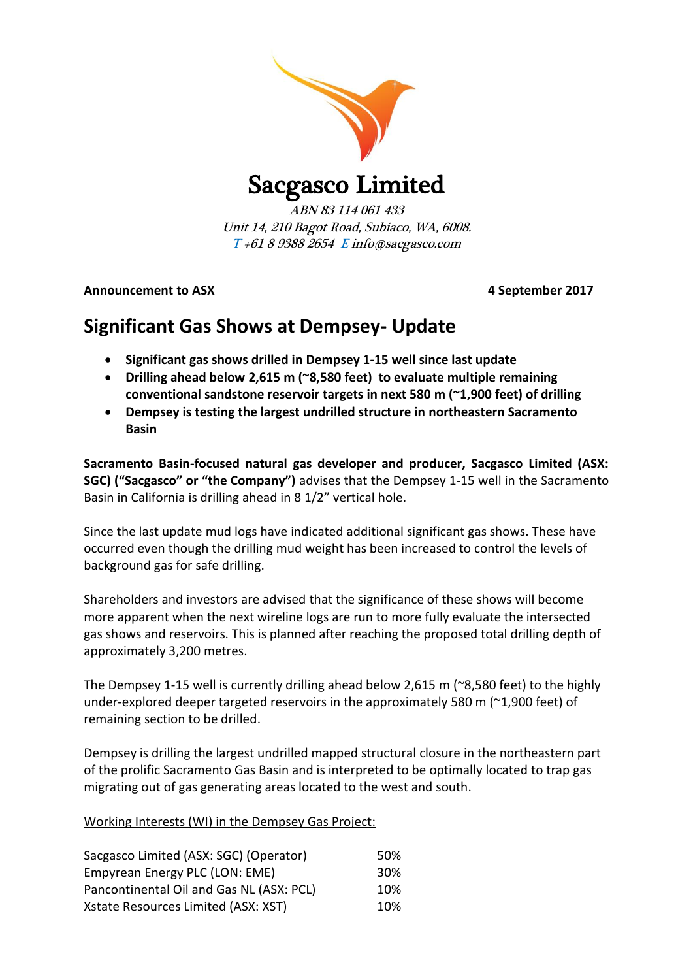

Sacgasco Limited

ABN 83 114 061 433 Unit 14, 210 Bagot Road, Subiaco, WA, 6008. T +61 8 9388 2654 E info@sacgasco.com

Announcement to ASX **Announcement to ASX** and the separation of the separation of the separation of the separation of the separation of the separation of the separation of the separation of the separation of the separation

# **Significant Gas Shows at Dempsey- Update**

- **Significant gas shows drilled in Dempsey 1-15 well since last update**
- **Drilling ahead below 2,615 m (~8,580 feet) to evaluate multiple remaining conventional sandstone reservoir targets in next 580 m (~1,900 feet) of drilling**
- **Dempsey is testing the largest undrilled structure in northeastern Sacramento Basin**

**Sacramento Basin-focused natural gas developer and producer, Sacgasco Limited (ASX: SGC) ("Sacgasco" or "the Company")** advises that the Dempsey 1-15 well in the Sacramento Basin in California is drilling ahead in 8 1/2" vertical hole.

Since the last update mud logs have indicated additional significant gas shows. These have occurred even though the drilling mud weight has been increased to control the levels of background gas for safe drilling.

Shareholders and investors are advised that the significance of these shows will become more apparent when the next wireline logs are run to more fully evaluate the intersected gas shows and reservoirs. This is planned after reaching the proposed total drilling depth of approximately 3,200 metres.

The Dempsey 1-15 well is currently drilling ahead below 2,615 m (~8,580 feet) to the highly under-explored deeper targeted reservoirs in the approximately 580 m ( $\approx$ 1,900 feet) of remaining section to be drilled.

Dempsey is drilling the largest undrilled mapped structural closure in the northeastern part of the prolific Sacramento Gas Basin and is interpreted to be optimally located to trap gas migrating out of gas generating areas located to the west and south.

Working Interests (WI) in the Dempsey Gas Project:

| Sacgasco Limited (ASX: SGC) (Operator)   | 50% |
|------------------------------------------|-----|
| Empyrean Energy PLC (LON: EME)           | 30% |
| Pancontinental Oil and Gas NL (ASX: PCL) | 10% |
| Xstate Resources Limited (ASX: XST)      | 10% |